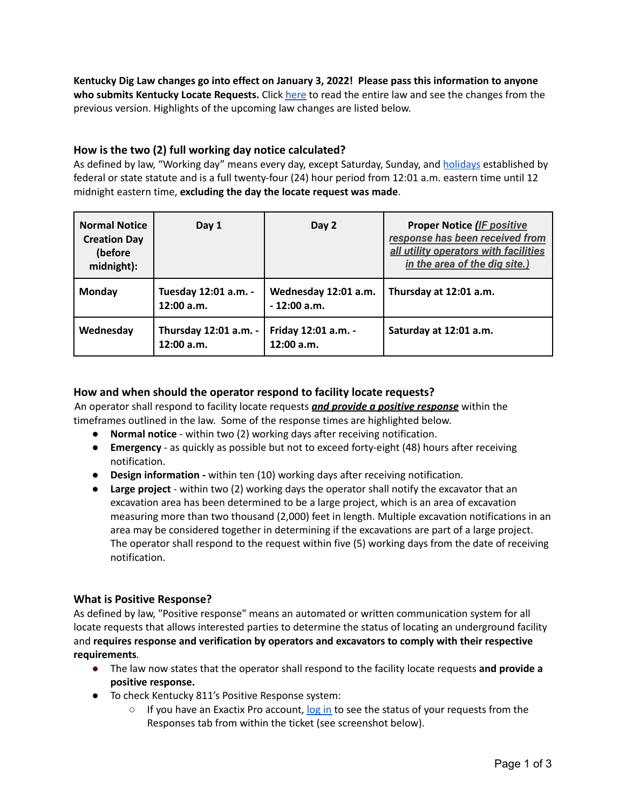**Kentucky Dig Law changes go into effect on January 3, 2022! Please pass this information to anyone who submits Kentucky Locate Requests.** Click here to read the entire law and see the changes from the previous version. Highlights of the upcoming law changes are listed below.

## **How is the two (2) full working day notice calculated?**

As defined by law, "Working day" means every day, except Saturday, Sunday, and holidays established by federal or state statute and is a full twenty-four (24) hour period from 12:01 a.m. eastern time until 12 midnight eastern time, **excluding the day the locate request was made**.

| <b>Normal Notice</b><br><b>Creation Day</b><br>(before<br>midnight): | Day 1                               | Day 2                                 | <b>Proper Notice (IF positive)</b><br>response has been received from<br>all utility operators with facilities<br>in the area of the dig site.) |
|----------------------------------------------------------------------|-------------------------------------|---------------------------------------|-------------------------------------------------------------------------------------------------------------------------------------------------|
| Monday                                                               | Tuesday 12:01 a.m. -<br>12:00 a.m.  | Wednesday 12:01 a.m.<br>$-12:00$ a.m. | Thursday at 12:01 a.m.                                                                                                                          |
| Wednesday                                                            | Thursday 12:01 a.m. -<br>12:00 a.m. | Friday 12:01 a.m. -<br>12:00 a.m.     | Saturday at 12:01 a.m.                                                                                                                          |

## **How and when should the operator respond to facility locate requests?**

An operator shall respond to facility locate requests *and provide a positive response* within the timeframes outlined in the law. Some of the response times are highlighted below.

- **Normal notice** within two (2) working days after receiving notification.
- **Emergency** as quickly as possible but not to exceed forty-eight (48) hours after receiving notification.
- **Design information** *-* within ten (10) working days after receiving notification.
- **Large project** within two (2) working days the operator shall notify the excavator that an excavation area has been determined to be a large project, which is an area of excavation measuring more than two thousand (2,000) feet in length. Multiple excavation notifications in an area may be considered together in determining if the excavations are part of a large project. The operator shall respond to the request within five (5) working days from the date of receiving notification.

#### **What is Positive Response?**

As defined by law, "Positive response" means an automated or written communication system for all locate requests that allows interested parties to determine the status of locating an underground facility and **requires response and verification by operators and excavators to comply with their respective requirements***.*

- The law now states that the operator shall respond to the facility locate requests **and provide a positive response.**
- To check Kentucky 811's Positive Response system:
	- $\circ$  If you have an Exactix Pro account,  $\log$  in to see the status of your requests from the Responses tab from within the ticket (see screenshot below).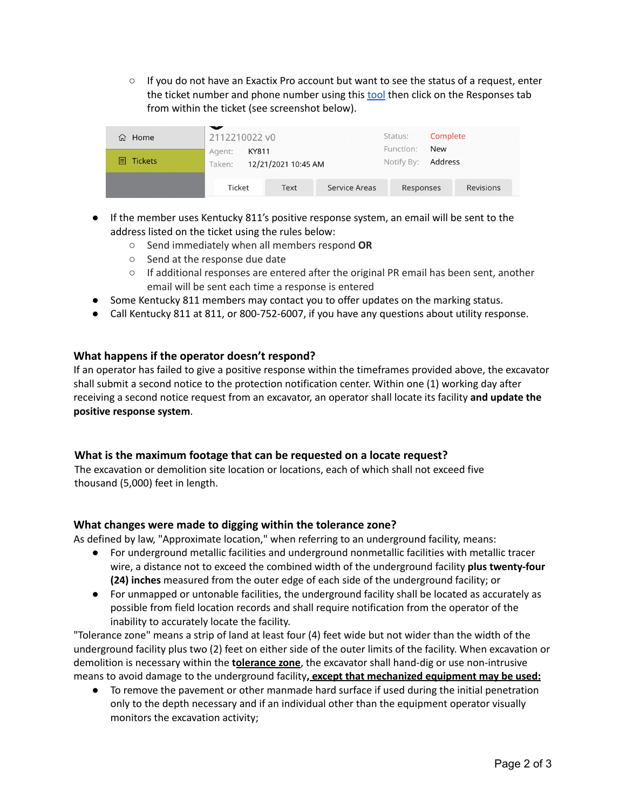○ If you do not have an Exactix Pro account but want to see the status of a request, enter the ticket number and phone number using this tool then click on the Responses tab from within the ticket (see screenshot below).



- If the member uses Kentucky 811's positive response system, an email will be sent to the address listed on the ticket using the rules below:
	- Send immediately when all members respond **OR**
	- Send at the response due date
	- If additional responses are entered after the original PR email has been sent, another email will be sent each time a response is entered
- Some Kentucky 811 members may contact you to offer updates on the marking status.
- Call Kentucky 811 at 811, or 800-752-6007, if you have any questions about utility response.

# **What happens if the operator doesn't respond?**

If an operator has failed to give a positive response within the timeframes provided above, the excavator shall submit a second notice to the protection notification center. Within one (1) working day after receiving a second notice request from an excavator, an operator shall locate its facility **and update the positive response system**.

## **What is the maximum footage that can be requested on a locate request?**

The excavation or demolition site location or locations, each of which shall not exceed five thousand (5,000) feet in length.

## **What changes were made to digging within the tolerance zone?**

As defined by law, "Approximate location," when referring to an underground facility, means:

- For underground metallic facilities and underground nonmetallic facilities with metallic tracer wire, a distance not to exceed the combined width of the underground facility **plus twenty-four (24) inches** measured from the outer edge of each side of the underground facility; or
- For unmapped or untonable facilities, the underground facility shall be located as accurately as possible from field location records and shall require notification from the operator of the inability to accurately locate the facility.

"Tolerance zone" means a strip of land at least four (4) feet wide but not wider than the width of the underground facility plus two (2) feet on either side of the outer limits of the facility. When excavation or demolition is necessary within the **tolerance zone**, the excavator shall hand-dig or use non-intrusive means to avoid damage to the underground facility**, except that mechanized equipment may be used:**

● To remove the pavement or other manmade hard surface if used during the initial penetration only to the depth necessary and if an individual other than the equipment operator visually monitors the excavation activity;